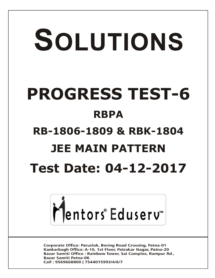# SOLUTIONS **PROGRESS TEST-6 RBPA RB-1806-1809 & RBK-1804 JEE MAIN PATTERN Test Date: 04-12-2017**



**Corporate Office: Paruslok, Boring Road Crossing, Patna-01** Kankarbagh Office: A-10, 1st Floor, Patrakar Nagar, Patna-20 Bazar Samiti Office: Rainbow Tower, Sai Complex, Rampur Rd., **Bazar Samiti Patna-06** Call: 9569668800 | 7544015993/4/6/7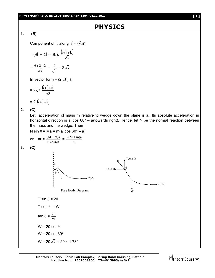# **PHYSICS**

#### **1. (B)**

Component of 
$$
\vec{v}
$$
 along  $\vec{a} = (\vec{v} \cdot \hat{a})$ 

$$
= (6\hat{i} + 2\hat{j} - 2\hat{k}). \frac{(\hat{i} + \hat{j} + \hat{k})}{\sqrt{3}}
$$

$$
= \frac{6 + 2 - 2}{\sqrt{3}} = \frac{6}{\sqrt{3}} = 2\sqrt{3}
$$

In vector form =  $(2\sqrt{3})$   $\hat{a}$ 

$$
= 2\sqrt{3} \frac{\left(\hat{i} + \hat{j} + \hat{k}\right)}{\sqrt{3}}
$$

$$
= 2 \left( \hat{i} + \hat{j} + \hat{k} \right)
$$

**2. (C)**

Let acceleration of mass m relative to wedge down the plane is  $a<sub>r</sub>$ . Its absolute acceleration in horizontal direction is  $a_r \cos 60^\circ - a$  (towards right). Hence, let N be the normal reaction between the mass and the wedge. Then

N sin = Ma = m(a<sup>r</sup> cos 60° – a) or ar = mcos 60 (M m)a = m 2(M m)a **3. (C)** T sin = 20 T cos = W tan = W 20 W = 20 cot W = 20 cot 30º W = 20 3 = 20 × 1.732 20N Free Body Diagram 20 N W Tsin Tcos T 

**Mentors Eduserv: Parus Lok Complex, Boring Road Crossing, Patna-1 Helpline No. : 9569668800 | 7544015993/4/6/7**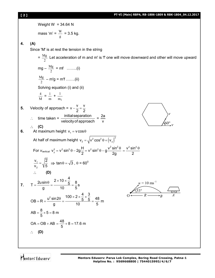

Mentors Eduserv<sup>®</sup>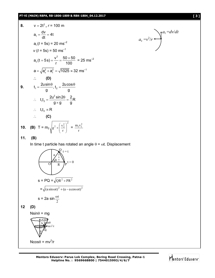#### **PT-VI (MAIN) RBPA, RB-1806-1809 & RBK-1804\_04.12.2017 [ 3 ]**

8. 
$$
v = 2t^2
$$
,  $r = 100$  m  
\n $a_t = \frac{dv}{dt} = 4t$   
\n $a_t (t = 5s) = 20$  ms<sup>-2</sup>  
\n $v (t = 5s) = 50$  ms<sup>-1</sup>  
\n $a_c (t = 5s) = \frac{v^2}{r} = \frac{50 \times 50}{100} = 25$  ms<sup>-2</sup>  
\n $a = \sqrt{a_c^2 + a_t^2} = \sqrt{1025} \approx 32$  ms<sup>-1</sup>  
\n $\therefore$  (D)  
\n9.  $t_1 = \frac{2u \sin \theta}{g}$ ,  $t_2 = \frac{2u \cos \theta}{g}$   
\n $\therefore t_1 t_2 = \frac{2u^2 \sin 2\theta}{g \times g} = \frac{2}{g}$ R  
\n $\therefore t_1 t_2 \propto R$   
\n $\therefore$  (C)  
\n10. (B)  $T = m_2 \sqrt{g^2 + (\frac{v_2^2}{r})^2} = \frac{m_1 v_1^2}{r}$ 

**11. (B)**

In time t particle has rotated an angle  $\theta = \omega t$ . Displacement



**12 (D)**

 $N\sin\theta = mg$ 

$$
N \times m^{2/r}
$$
  
Rees  
Imv<sup>2/r</sup>  
mg  
200  
Meos  

$$
\theta = mv^2/r
$$



$$
a_{c} = v^{2}/r
$$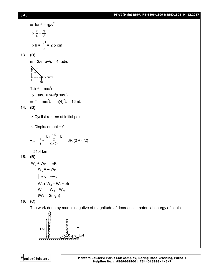### **[ 4 ] PT-VI (Main) RBPA, RB-1806-1809 & RBK-1804\_04.12.2017**

$$
\Rightarrow \tan\theta = rg/v^2
$$
\n
$$
\Rightarrow \frac{r}{h} = \frac{rg}{v^2}
$$
\n
$$
\Rightarrow h = \frac{v^2}{g} = 2.5 \text{ cm}
$$
\n13. **(D)**\n
$$
\omega = 2/\pi \text{ rev/s} = 4 \text{ rad/s}
$$
\n
$$
\sum_{i=1}^{n} \sum_{r=1}^{n} \text{max}^2 r
$$
\n
$$
\text{Tsin}\theta = m\omega^2 r
$$
\n
$$
\Rightarrow \text{Tsin}\theta = m\omega^2 (\text{Lsin}\theta)
$$
\n
$$
\Rightarrow \text{T} = m\omega^2 \text{L} = m(4)^2 \text{L} = 16 \text{mL}
$$
\n14. **(D)**\n
$$
\therefore \text{ Cyclist returns at initial point}
$$
\n
$$
\therefore \text{ Displacement} = 0
$$
\n
$$
v_{av} = \frac{s}{t} = \frac{R + \frac{\pi R}{2} + R}{(1/6)} = 6R (2 + \pi/2)
$$
\n
$$
= 21.4 \text{ km}
$$
\n15. **(B)**\n
$$
W_g + W_{Fr} = \Delta K
$$
\n
$$
W_g = -W_{Fr}
$$
\n
$$
\boxed{W_{Fr} = -mgh}
$$
\n
$$
W_f + W_g + W_f = \Delta k
$$
\n
$$
W_f = -W_g - W_{Fr}
$$
\n
$$
(W_F = 2mgh)
$$
\n16. **(C)**

The work done by man is negative of magnitude of decrease in potential energy of chain.

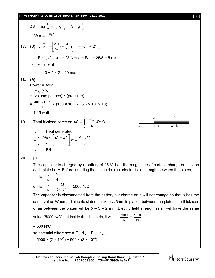$$
\Delta U = mg \frac{L}{2} - \frac{m}{2}g \frac{L}{4} = 3 mg \frac{L}{8}
$$
  
\n
$$
\therefore W = -\frac{3mg\ell}{8}
$$
  
\n17. **(D)** 
$$
\therefore \vec{F} = -\left[\frac{\Delta U}{\Delta x}\hat{i} + \frac{\Delta U}{\Delta y}\hat{j}\right] = -[-7\hat{i} + 24\hat{j}]
$$
  
\n
$$
\therefore F = \sqrt{7^2 + 24^2} = 25 N \Rightarrow a = F/m = 25/5 = 5 m/s^2
$$
  
\n
$$
\therefore v = u + at
$$
  
\n
$$
= 0 + 5 \times 2 = 10 m/s
$$
  
\n18. **(A)**  
\nPower = Av<sup>3</sup>d  
\n
$$
= (Av)(v2d)
$$
  
\n
$$
= (volumene per sec) \times (pressure)
$$
  
\n
$$
= \frac{4000 \times 10^{-6}}{60} \times (130 \times 10^{-3} \times 13.6 \times 10^{3} \times 10)
$$
  
\n
$$
= 1.15 watt
$$
  
\n19. Total frictional force on  $AB = \int_{x}^{L} \frac{Mg}{L} Kx dx$   
\n
$$
\therefore \text{Heat generated}
$$
  
\n
$$
= \int_{0}^{L} \frac{MgK}{L} \left[\frac{L^2 - x^2}{2}\right] dx = \frac{KmgL^2}{3}
$$

**20. [C]**

The capacitor is charged by a battery of 25 V. Let the magnitude of surface charge density on each plate be  $\sigma$ . Before inserting the dielectric slab, electric field strength between the plates,

$$
E = \frac{\sigma}{\epsilon_0} = \frac{V}{d}
$$
  
or 
$$
E = \frac{\sigma}{\epsilon_0} = \frac{25}{5 \times 10^{-3}} = 5000 \text{ N/C}
$$

The capacitor is disconnected from the battery but charge on it will not change so that  $\sigma$  has the same value. When a dielectric slab of thickness 3mm is placed between the plates, the thickness of air between the plates will be  $5 - 3 = 2$  mm. Electric field strength in air will have the same value (5000 N/C) but inside the dielectric, it will be  $\frac{500}{K}$  $\frac{5000}{\text{K}} = \frac{500}{10}$ 5000

= 500 N/C

so potential difference =  $E_{air}$  d<sub>air</sub> +  $E_{med}$  d<sub>med</sub> = 5000 × (2 × 10<sup>-3</sup>) + 500 × (3 × 10<sup>-3</sup>)

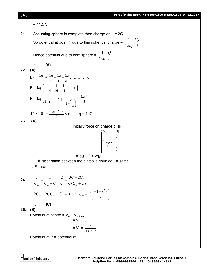**[ 6 ] PT-VI (Main) RBPA, RB-1806-1809 & RBK-1804\_04.12.2017**  $= 11.5 V$ **21.** Assuming sphere is complete then charge on it = 2*Q* So potential at point *P* due to this spherical charge = *d* 2*Q* 4 1  $\pi \varepsilon_0$ Hence potential due to hemisphere = *d Q*  $4\pi\epsilon_0$ 1 πε **(A) 22. (A)**  $E_0 = \frac{kq}{1^2} + \frac{kq}{2^2}$  $\frac{kq}{2^2} + \frac{kq}{4^2}$  $\frac{kq}{4^2} + \frac{kq}{8^2}$  $\frac{\text{kq}}{\text{s}^2}$  ………… $\infty$  $E = kq | 1 + \frac{1}{4} + \frac{1}{16} + \frac{1}{64} + \dots \infty$  $\bigg)$  $\left(1+\frac{1}{4}+\frac{1}{16}+\frac{1}{64}+\dots\infty\right)$  $\overline{\phantom{0}}$  $\left(1+\frac{1}{4}+\frac{1}{16}+\frac{1}{64}+\dots\infty\right)$ 1 16 1 4  $1 + \frac{1}{1}$  $E = kq \mid \frac{q}{1}$ J  $\left(\frac{q}{1}\right)$  $\overline{\phantom{0}}$ ſ  $1 - r$  $\left(\frac{q}{q}\right) = kq$ . J J  $\left(\frac{1}{4}\right)$  $\setminus$  $-\left(\frac{1}{4}\right)$  $1-\frac{1}{2}$  $\frac{1}{\binom{1}{3}} = \frac{\text{kq}}{3}$ kq 4  $12 \times 10^3 = \frac{9 \times 10}{3}$  $\frac{9\times10^{9}\times4}{2}$  × q : q = 1µC **23. (A)** Initially force on charge  $q_0$  is  $F = q_0(2E) = 2q_0E$ If separation between the plates is doubled  $E=$  same  $\therefore$  F = same **24.**  $(C_{\infty}+C)$ 1 1 2  $3C+2$  $C(C_{\infty}+C)$  $C+2C$  $C_{\infty}$   $C_{\infty}$  +  $C$   $C$   $C(C_{\infty}$  +  $+\frac{2}{a}=\frac{3C+1}{3(a)}$  $\ddot{}$  $=$  $\infty$  $\infty$  $\infty$   $\infty$  $2C_{\infty}^2 + 2CC_{\infty} - C^2 = 0 \Rightarrow C_{\infty} = C \left| \frac{-1 + \sqrt{3}}{2} \right|$ J  $\left( \right)$  $\overline{\phantom{a}}$  $\setminus$  $\left( -1 + \right)$  $\alpha = C \left( \frac{1}{2} \right)$  $C_{\infty} = C \frac{-1 + \sqrt{3}}{2}$  **(C) 25. (B)** Potential at centre =  $V_q$  + V<sub>induced</sub>  $= V_{0} + 0$  $= V_q = \frac{q}{4\pi \epsilon_0 r}$ q  $\pi \in_0$ Potential at P = potential at C + + + + + + – – – – – E E –  $+$  Q – Q

Mentors<sup>e</sup> Eduserv<sup>®</sup>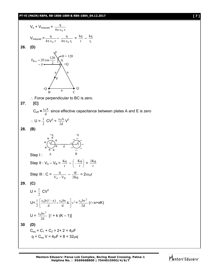#### **PT-VI (MAIN) RBPA, RB-1806-1809 & RBK-1804\_04.12.2017 [ 7 ]**

$$
V_{q} + V_{induced} = \frac{q}{4\pi\epsilon_{0} r}
$$
  
\n
$$
V_{induced} = \frac{q}{4\pi\epsilon_{0} r} - \frac{q}{4\pi\epsilon_{0} r_{1}} = \frac{kq}{r} - \frac{kq}{r_{1}}
$$
  
\n26. (D)  
\n
$$
F_{Res} = 2F \cos \frac{120}{2} \bigwedge_{n=1}^{n} A + Q
$$
  
\n
$$
F_{Res} = 2F \cos \frac{120}{2} \bigwedge_{n=1}^{n} A + Q
$$
  
\n
$$
F_{res} = \frac{2F \cos \frac{120}{2}}{4} \bigwedge_{n=1}^{n} A
$$
  
\n
$$
F_{res}
$$
  
\n
$$
F_{res}
$$
  
\n27. [C]  
\n
$$
C_{eff} = \frac{\epsilon_{0} A}{d} \text{ since effective capacitance between plates A and E is zero}
$$
  
\n
$$
\therefore U = \frac{1}{2} C V^{2} = \frac{\epsilon_{0} A}{2d} V^{2}
$$
  
\n28. (B)  
\n
$$
+ \frac{1}{\sqrt{1 + \frac{1}{1 + \frac{1}{1 + \frac{1}{1 - \frac{1}{1 - \frac{1}{1 - \frac{1}{1 - \frac{1}{1 - \frac{1}{1 - \frac{1}{1 - \frac{1}{1 - \frac{1}{1 - \frac{1}{1 - \frac{1}{1 - \frac{1}{1 - \frac{1}{1 - \frac{1}{1 - \frac{1}{1 - \frac{1}{1 - \frac{1}{1 - \frac{1}{1 - \frac{1}{1 - \frac{1}{1 - \frac{1}{1 - \frac{1}{1 - \frac{1}{1 - \frac{1}{1 - \frac{1}{1 - \frac{1}{1 - \frac{1}{1 - \frac{1}{1 - \frac{1}{1 - \frac{1}{1 - \frac{1}{1 - \frac{1}{1 - \frac{1}{1 - \frac{1}{1 - \frac{1}{1 - \frac{1}{1 - \frac{1}{1 - \frac{1}{1 - \frac{1}{1 - \frac{1}{1 - \frac{1}{1 - \frac{1}{1 - \frac{1}{1 - \frac{1}{1 - \frac{1}{1 - \frac{1}{1 - \frac{1}{1 - \frac{1}{1 - \frac{1}{1 - \frac
$$

**Mentors Eduserv: Parus Lok Complex, Boring Road Crossing, Patna-1 Helpline No. : 9569668800 | 7544015993/4/6/7**

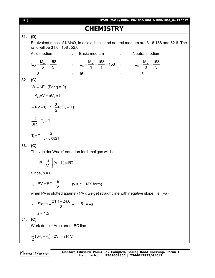| [ 8 ] | PT-VI (MAIN) RBPA, RB-1806-1809 & RBK-1804_04.12.2017                                                                                               |
|-------|-----------------------------------------------------------------------------------------------------------------------------------------------------|
|       | <b>CHEMISTRY</b>                                                                                                                                    |
| 31.   | (D)                                                                                                                                                 |
|       | Equivalent mass of KMnO <sub>4</sub> in acidic, basic and neutral medium are 31.6 158 and 52.6. The<br>ratio will be 31.6 : 158 : 52.6.             |
|       | Acid medium<br>Neutral medium<br>Basic medium<br>and the control of the<br>$\mathcal{L}_{\rm{max}}$                                                 |
|       | $E_w = \frac{M_w}{5} = \frac{158}{5}$ $\qquad \qquad E_w = \frac{M_w}{1} = \frac{158}{1} = 158$ $\qquad \qquad E_w = \frac{M_w}{3} = \frac{158}{3}$ |
|       | $\therefore$ 15<br>3<br>5                                                                                                                           |
| 32.   | (C)                                                                                                                                                 |
|       | $W = \Delta E$ (For q = 0)                                                                                                                          |
|       | $-P_{\rm ext}\Delta V = nC_{V}\Delta T$                                                                                                             |
|       | $-1(2-1)=1\times\frac{3}{2}R(T_{f}-T)$                                                                                                              |
|       | $\frac{-2}{3R} = T_f - T$                                                                                                                           |
|       | $T_f = T - \frac{2}{3 \times 0.0821}$                                                                                                               |
| 33.   | (C)                                                                                                                                                 |
|       | The van der Waals' equation for 1 mol gas will be                                                                                                   |
|       | $\left  P + \frac{a}{\sqrt{2}} \right  [V - b] = RT$                                                                                                |
|       | Since, $b = 0$                                                                                                                                      |
|       | $\therefore$ PV = RT - $\frac{a}{v}$ (y = c + MX form)                                                                                              |
|       | when PV is plotted against $(1/V)$ , we get straight line with negative slope, i.e. $(-a)$ .                                                        |
|       | $\therefore$ Slope = $\frac{21.1-24.6}{3}$ = -1.5 = -a                                                                                              |
|       | $a = 1.5$                                                                                                                                           |
| 34.   | (C)                                                                                                                                                 |
|       | Work done = Area under BC line                                                                                                                      |
|       | $\frac{1}{2}(6P_1+P_1)\times 2V_1 = 7P_1V_1$                                                                                                        |
|       |                                                                                                                                                     |
|       | Mentors Edusery: Parus Lok Complex, Boring Road Crossing, Patna-1                                                                                   |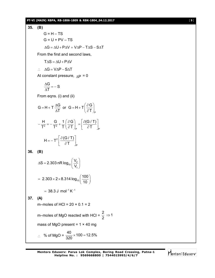

Mentors Eduserv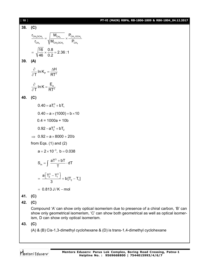101 97-VI (MAIN) RBPA, RB-1806-1809 8 RBK-1804\_043.22017  
\n
$$
\frac{r_{\text{Cr}_4, \text{COH}_4}}{r_{\text{Cr}_4}} = \sqrt{\frac{M_{\text{CH}_4, \text{COH}_4}}{M_{\text{CH}_4, \text{COH}_4}}} \times \frac{P_{\text{CH}_4, \text{OCH}_4}}{P_{\text{CH}_4}}
$$
\n
$$
= \sqrt{\frac{16}{6}} \ln K_{\text{P}} = \frac{AH}{RT^2}
$$
\n40. (C)  
\n0.40 = a × (1000) + b × 10  
\n0.4 = 1000a + 10b  
\n0.92 – a T<sub>2</sub><sup>3</sup> + bT<sub>2</sub>  
\n⇒ 0.92 = a × 8000 + 20b  
\nfrom Eqs. (1) and (2)  
\n $a = 2 × 10^{-3}$ , b = 0.038  
\n
$$
S_m = \int \frac{aT^3 + bT}{T} \cdot dT
$$
\n
$$
= \frac{a[T_2^3 - T_1^3]}{3} + b[T_2 - T_1]
$$
\n= 0.813 J/K – mol  
\n41. (C)  
\n42. (C)  
\ncompound 'A' can show only optical isomerism due to presence of a chiral carbon, 'B' can  
\nshow only geometrical isomerism. C' can show both geometrical as well as optical isomer-  
\nism, D can show only optical isomerism.  
\n43. (C)  
\n(A) & (B) Cis-1,3-dimethyl cyclohexane & (D) is trans-1,4-dimethyl cyclohexane

Mentors<sup>e</sup> Eduserv<sup>-</sup>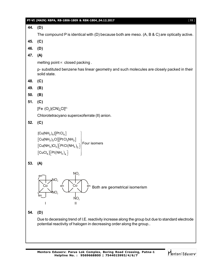|     | PT-VI (MAIN) RBPA, RB-1806-1809 & RBK-1804_04.12.2017<br>$[11]$                                                                                                                                                                                                                                                                                                                                                                                                                                                                         |
|-----|-----------------------------------------------------------------------------------------------------------------------------------------------------------------------------------------------------------------------------------------------------------------------------------------------------------------------------------------------------------------------------------------------------------------------------------------------------------------------------------------------------------------------------------------|
| 44. | (D)                                                                                                                                                                                                                                                                                                                                                                                                                                                                                                                                     |
|     | The compound P is identical with (D) because both are meso. $(A, B & C)$ are optically active.                                                                                                                                                                                                                                                                                                                                                                                                                                          |
| 45. | (C)                                                                                                                                                                                                                                                                                                                                                                                                                                                                                                                                     |
| 46. | (D)                                                                                                                                                                                                                                                                                                                                                                                                                                                                                                                                     |
| 47. | (A)                                                                                                                                                                                                                                                                                                                                                                                                                                                                                                                                     |
|     | melting point ∞ closed packing.                                                                                                                                                                                                                                                                                                                                                                                                                                                                                                         |
|     | p-substituted benzene has linear geometry and such molecules are closely packed in their<br>solid state.                                                                                                                                                                                                                                                                                                                                                                                                                                |
| 48. | (C)                                                                                                                                                                                                                                                                                                                                                                                                                                                                                                                                     |
| 49. | (B)                                                                                                                                                                                                                                                                                                                                                                                                                                                                                                                                     |
| 50. | (B)                                                                                                                                                                                                                                                                                                                                                                                                                                                                                                                                     |
| 51. | (C)                                                                                                                                                                                                                                                                                                                                                                                                                                                                                                                                     |
|     | [Fe $(O_2)(CN)_4Cl^{4-}$                                                                                                                                                                                                                                                                                                                                                                                                                                                                                                                |
|     | Chlorotetracyano superoxoferrate (II) anion.                                                                                                                                                                                                                                                                                                                                                                                                                                                                                            |
| 52. | (C)                                                                                                                                                                                                                                                                                                                                                                                                                                                                                                                                     |
|     | $[Cu(NH3)4][PtCl4]$<br>$\begin{bmatrix}$ $\begin{bmatrix}$ $\begin{bmatrix}$ $\end{bmatrix}$ $\begin{bmatrix}$ $\begin{bmatrix}$ $\end{bmatrix}$ $\begin{bmatrix}$ $\begin{bmatrix}$ $\end{bmatrix}$ $\begin{bmatrix}$ $\begin{bmatrix}$ $\end{bmatrix}$ $\begin{bmatrix}$ $\begin{bmatrix}$ $\end{bmatrix}$ $\begin{bmatrix}$ $\begin{bmatrix}$ $\end{bmatrix}$ $\begin{bmatrix}$ $\end{bmatrix}$ $\begin{bmatrix}$ $\begin{bmatrix}$ $\end{bmatrix}$ $\begin{b$<br>$\textsf{[CuCl}_{4}\textsf{]} \textsf{[Pt(NH}_{3})_{4} \textsf{]}$ |
| 53. | (A)                                                                                                                                                                                                                                                                                                                                                                                                                                                                                                                                     |
|     | NO <sub>2</sub><br>$en^-$<br>NO <sub>2</sub><br>Co<br>Co<br>en<br>Both are geometrical isomerism<br>en<br>NO <sub>2</sub><br>Ш                                                                                                                                                                                                                                                                                                                                                                                                          |
| 54. | (D)                                                                                                                                                                                                                                                                                                                                                                                                                                                                                                                                     |
|     | Due to decerasing trend of I.E. reactivity increase along the group but due to standard electrode<br>potential reactivity of halogen in decreasing order along the group                                                                                                                                                                                                                                                                                                                                                                |
|     |                                                                                                                                                                                                                                                                                                                                                                                                                                                                                                                                         |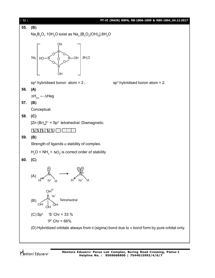

Mentors<sup>e</sup> Eduserv<sup>®</sup>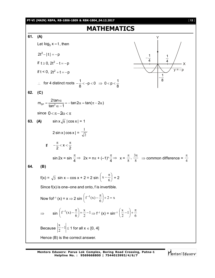

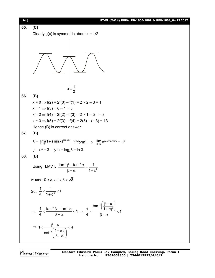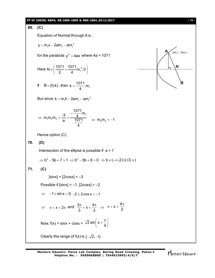#### **PT-VI (MAIN) RBPA, RB-1806-1809 & RBK-1804\_04.12.2017** [ **15** ]

## **69. (C)** Equation of Normal through A is :  $y = m_1 x - 2am_1 - am_1^3$ **A B N**  $(am_1^2, -2am_1)$ for the parabola  $y^2 = 4$ ax where 4a = 1071 Here N =  $\left(\frac{1071}{2} + \frac{1071}{4} m_1^2, 0\right)$ 2 4  $\equiv \left(\frac{1071}{2} + \frac{1071}{4}m_1^2, 0\right)$ If  $B = (h,k)$ , then  $k = \frac{1071}{4}$  m<sub>1</sub> 4  $=$ But since  $k = m_1 h - 2am_1 - am_1^3$ 1  $1''$   $2''$   $3$  $\frac{1071}{1}$ m  $m_1m_2m_3 = \frac{-k}{k} = \frac{-\frac{1}{4}}{10}$ a 1071 4  $\Rightarrow$  m<sub>1</sub>m<sub>2</sub>m<sub>3</sub> =  $\frac{-k}{a} = \frac{\frac{-101}{4}m_1}{1071}$   $\Rightarrow$  m<sub>2</sub>m<sub>3</sub> = -1 Hence option (C) **70. (D)** Intersection of the ellipse is possible if  $a > 1$  $\Rightarrow$  b<sup>2</sup> - 5b + 7 > 1  $\Rightarrow$  b<sup>2</sup> - 5b + 6 > 0  $\Rightarrow$  b  $\in$  (- $\infty$ , 2) U (3, $\infty$ ) **71. (C)**  $[sinx] + [2cosx] = -3$ Possible if  $[sinx] = -1$ ,  $[2cosx] = -2$  $\Rightarrow$   $-1 \leq$  sin x  $<$  0,  $-2 \leq$  2cos x  $<$  -1  $\Rightarrow \pi < x < 2\pi$  and  $\frac{2\pi}{3} < x < \frac{4\pi}{3}$ 3 3  $\frac{\pi}{\lambda}$  < **x** <  $\frac{4\pi}{\lambda}$   $\Rightarrow$  $x < \frac{4}{7}$ 3  $\pi < x < \frac{4\pi}{2}$ Now,  $f(x) = \sin x + \cos x = \sqrt{2} \sin \left( x + \frac{\pi}{4} \right)$  $\left(x+\frac{\pi}{4}\right)$ Clearly the range of  $f(x)$  is  $[-\sqrt{2}, -1]$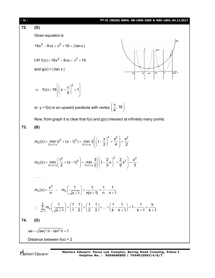72. **(D)**  
\nGiven equation is  
\n
$$
16x^2 - 8\pi x + \pi^2 + 16 = |\tan x|
$$
  
\nLet  $f(x) = 16x^2 - 8\pi x + \pi^2 + 16$   
\nand  $g(x) = |\tan x|$   
\n $\Rightarrow f(x) = 16 \left[ (x - \frac{\pi}{4})^2 + 1 \right]$   
\nor  $y = f(x)$  is an upward parabola with vertex  $(\frac{\pi}{4}, 16)$   
\nNow, from graph it is clear that  $f(x)$  and  $g(x)$  intersect at infinitely many points.  
\n73. **(B)**  
\n $m_2(x) = \min_{0 \leq t \leq x} (t^2 + (x - t)^2) = \min_{0 \leq t \leq x} 2 \left[ (t - \frac{x}{2})^2 + \frac{x^2}{4} \right] = \frac{x^2}{2}$   
\n $m_3(x) = \min_{0 \leq t \leq x} (\frac{t^2}{2} + (x - t)^2) = \min_{0 \leq t \leq x} 2 \left[ (t - \frac{x}{3})^2 + \frac{x^2}{9}x^2 \right] = \frac{x^2}{3}$   
\n...  
\n $m_n(x) = \frac{x^2}{n}$   $\therefore m_n \left( \frac{1}{\sqrt{n+1}} \right) = \frac{1}{n(n+1)} = \frac{1}{n} - \frac{1}{n+1}$   
\n $\therefore \sum_{n=1}^{k} m_n \left( \frac{1}{\sqrt{n+1}} \right) = \left( \frac{1}{1} - \frac{1}{2} \right) + \left( \frac{1}{2} - \frac{1}{3} \right) + ... + \left( \frac{1}{k} - \frac{1}{k+1} \right) = 1 - \frac{1}{k+1} = \frac{k}{k+1}$   
\n74. **(D)**  
\n**2e** =  $\sqrt{\sec^2 \theta - \tan^2 \theta} = 1$   
\nDistance between foci = 2

Mentors<sup>®</sup> Eduserv<sup>®</sup>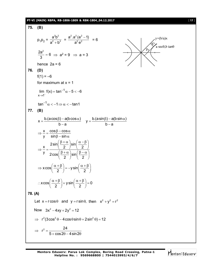#### **PT-VI (MAIN) RBPA, RB-1806-1809 & RBK-1804\_04.12.2017** [ **17** ]

75. (B)  
\n
$$
p_1p_2 = \frac{a^2b^2}{a^2 + b^2} = \frac{a^2 \cdot a^2(e^2 - 1)}{a^2 e^2} = 6
$$
\n
$$
\frac{2a^2}{a^2} = 6 \Rightarrow a^2 = 9 \Rightarrow a = 3
$$
\nHence  $2a = 6$   
\n76. (D)  
\n $f(1) = -6$   
\nfor maximum at x = 1  
\n
$$
\lim_{x \to 1} f(x) = \tan^{-1} \alpha - 5 < -6
$$
  
\n
$$
\tan^{-1} \alpha < -1 \Rightarrow \alpha < -\tan 1
$$
  
\n77. (B)  
\n
$$
x = \frac{b.(a \cos \beta) - a(b \cos \alpha)}{b - a} \quad y = \frac{b.(a \sin \beta) - a(b \sin \alpha)}{b - a}
$$
\n
$$
\Rightarrow \frac{x}{y} = \frac{\cos \beta - \cos \alpha}{\sin \beta - \sin \alpha}
$$
\n
$$
\Rightarrow \frac{x}{y} = \frac{2 \sin(\frac{\beta + \alpha}{2}) \sin(\frac{\alpha - \beta}{2})}{2 \cos(\frac{\beta + \alpha}{2}) \sin(\frac{\beta - \alpha}{2})}
$$
\n
$$
\Rightarrow x \cos(\frac{\alpha + \beta}{2}) = -y \sin(\frac{\alpha + \beta}{2}) = 0
$$
\n78. (A)  
\nLet x = r \cos \theta and y = r \sin \theta, then  $x^2 + y^2 = r^2$   
\nNow  $3x^2 - 4xy + 2y^2 = 12$   
\n
$$
\Rightarrow r^2 = \frac{24}{5 + \cos 2\theta - 4 \cos \theta \sin \theta + 2 \sin^2 \theta} = 12
$$

Mentors<sup>e</sup> Eduserv<sup>-</sup>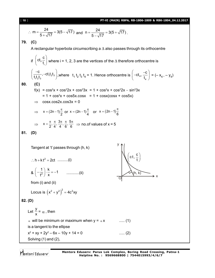13. 
$$
m = \frac{24}{5 + \sqrt{17}} = 3(5 - \sqrt{17})
$$
 and  $n = \frac{24}{5 - \sqrt{17}} = 3(5 + \sqrt{17})$ .  
\n79. (C)  
\nA rectangular hyperbola circumscribing a  $\triangle$  also passes through its orthocentre  
\nif  $(ct_0, \frac{c}{t_1})$  where  $i = 1, 2, 3$  are the vertices of the  $\triangle$  therefore orthocentre is  
\n $(\frac{-c}{t_1 t_2 t_3})$ , where  $t_1 t_2 t_3 t_4 = 1$ . Hence orthocentre is  $(-ct_4, \frac{-c}{t_4}) = (-x_4, -y_4)$   
\n80. (C)  
\n $f(x) = cos^{2}x + cos^{2}2x + cos^{3}3x = 1 + cos^{2}x + cos^{2}2x - sin^{2}3x$   
\n $= 1 + cos^{5}x + cos5x$ .cos x = 1 + cos(x cos x + cos5x)  
\n $\Rightarrow cosx . cos2x . cos3x = 0$   
\n $\Rightarrow x = (2n - 1)\frac{\pi}{2}$  or  $x = (2n - 1)\frac{\pi}{6}$  or  $x = (2n - 1)\frac{\pi}{6}$   
\n $\Rightarrow x = \frac{\pi}{2}, \frac{\pi}{4}, \frac{3\pi}{4}, \frac{\pi}{6}, \frac{5\pi}{6} \Rightarrow no.6 \text{ values of } x = 5$   
\n81. (D)  
\nTangent at "passes through (h, k)  
\n $\therefore h + k^{-2} = 2t$  .........(i)  
\n $8 \left(-\frac{1}{t^2}\right) \cdot \frac{k}{x} = -1$  .........(ii)  
\nfrom (i) and (ii)  
\nLocus is  $(x^2 + y^2)^2 = 4c^2xy$   
\n82. (D)  
\nLet  $\frac{y}{x} = \alpha$ , then  
\n $\alpha$  will be minimum or maximum when  $y = \alpha x$  .........(1)  
\nis a tangent to the ellipse  
\n $x^2 + xy + 2y^2 - 6x - 10y + 14 = 0$  .........(2)  
\nSolving (1) and (2).

Mentors<sup>®</sup> Eduserv<sup>®</sup>

**Mentors Eduserv: Parus Lok Complex, Boring Road Crossing, Patna-1 Helpline No. : 9569668800 | 7544015993/4/6/7**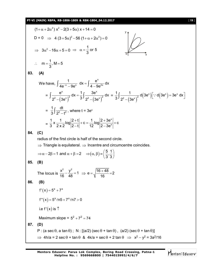#### **PT-VI (MAIN) RBPA, RB-1806-1809 & RBK-1804\_04.12.2017** [ **19** ]

$$
(1+\alpha+2\alpha^2) x^2-2(3+5\alpha) x+14=0
$$
  
\nD = 0 ⇒ 4 (3+5\alpha)<sup>2</sup>-56 (1+α+2α<sup>2</sup>)=0  
\n⇒ 3α<sup>2</sup>-16α+5=0 ⇒ α= $\frac{1}{3}$  or 5  
\n∴ m= $\frac{1}{3}$ , M = 5  
\n83. (A)  
\nWe have,  $\int \frac{1}{4e^x-9e^x} dx = \int \frac{e^x}{4-9e^{2x}} dx$   
\n $= \int \frac{e^x}{2^2-(3e^x)^2} dx = \frac{1}{3} \int \frac{3e^x}{2^2-(3e^x)^2} dx = \frac{1}{3} \int \frac{1}{2^2-(3e^x)^2} d(3e^x) [\because d(3e^x) - 3e^x dx]$   
\n $= \frac{1}{3} \int \frac{dt}{2^2-t^2}$ , where t = 3e<sup>x</sup>  
\n $= \frac{1}{3} \int \frac{dt}{2^2-t^2}$ , where t = 3e<sup>x</sup>  
\n $= \frac{1}{3} \times \frac{1}{2x^2} log |\frac{2+t}{2-t}| + c = \frac{1}{12} log |\frac{2+3e^x}{2-3e^x}| + c$   
\n84. (C)  
\nradius of the first circle is half of the second circle.  
\n⇒ Triangle is equilateral. ⇒ Incentre and circumference coincides.  
\n⇒ α-2β = 1 and α + β = 2 ⇒ (α, β) =  $(\frac{5}{3} \cdot \frac{1}{3})$   
\n85. (B)  
\nThe locus is  $\frac{x^2}{16} - \frac{y^2}{48} = 1$  ⇒ e =  $\sqrt{\frac{16+48}{16}} = 2$   
\n86. (B)  
\nf'(x) = 5<sup>x</sup> + 7<sup>x</sup>  
\nf''(x) = 5<sup>x</sup> + 7<sup>x</sup>  
\nf''(x) = 5<sup>x</sup> + 7<sup>x</sup>  
\n87. (D)  
\nP : (a sec0, a tan 0); N : [(a/2) (sec 0 + tan 0), (a/2) (sec 0 + tan 0)]  
\n⇒ 4h/a = 2 sec θ + tan θ &

Mentors<sup>e</sup> Eduserv<sup>-</sup>